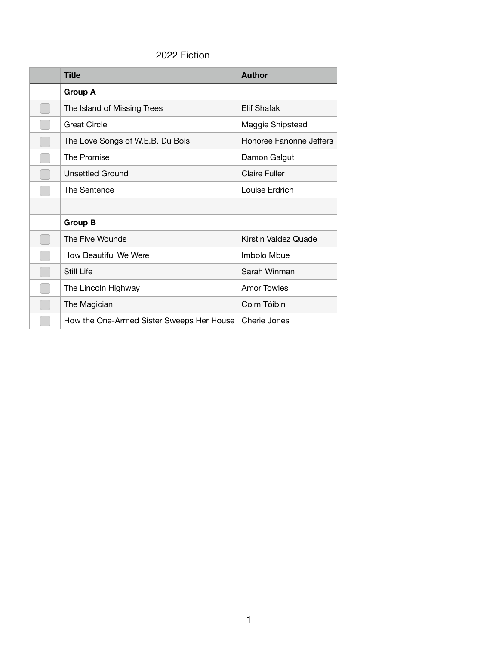## 2022 Fiction

| <b>Title</b>                              | <b>Author</b>           |  |
|-------------------------------------------|-------------------------|--|
| <b>Group A</b>                            |                         |  |
| The Island of Missing Trees               | <b>Elif Shafak</b>      |  |
| <b>Great Circle</b>                       | Maggie Shipstead        |  |
| The Love Songs of W.E.B. Du Bois          | Honoree Fanonne Jeffers |  |
| The Promise                               | Damon Galgut            |  |
| <b>Unsettled Ground</b>                   | <b>Claire Fuller</b>    |  |
| The Sentence                              | Louise Erdrich          |  |
|                                           |                         |  |
| <b>Group B</b>                            |                         |  |
| The Five Wounds                           | Kirstin Valdez Quade    |  |
| How Beautiful We Were                     | Imbolo Mbue             |  |
| Still Life                                | Sarah Winman            |  |
| The Lincoln Highway                       | Amor Towles             |  |
| The Magician                              | Colm Tóibín             |  |
| How the One-Armed Sister Sweeps Her House | Cherie Jones            |  |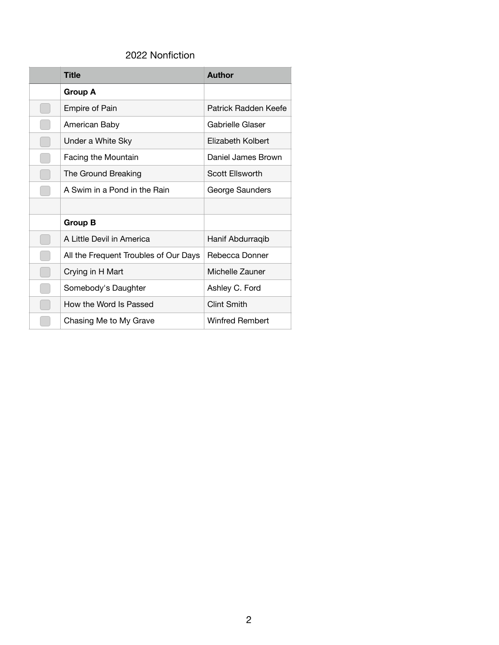## 2022 Nonfiction

| <b>Title</b>                          | Author                 |
|---------------------------------------|------------------------|
| Group A                               |                        |
| <b>Empire of Pain</b>                 | Patrick Radden Keefe   |
| American Baby                         | Gabrielle Glaser       |
| Under a White Sky                     | Elizabeth Kolbert      |
| Facing the Mountain                   | Daniel James Brown     |
| The Ground Breaking                   | Scott Ellsworth        |
| A Swim in a Pond in the Rain          | George Saunders        |
|                                       |                        |
| Group B                               |                        |
| A Little Devil in America             | Hanif Abdurraqib       |
| All the Frequent Troubles of Our Days | Rebecca Donner         |
| Crying in H Mart                      | Michelle Zauner        |
| Somebody's Daughter                   | Ashley C. Ford         |
| How the Word Is Passed                | Clint Smith            |
| Chasing Me to My Grave                | <b>Winfred Rembert</b> |